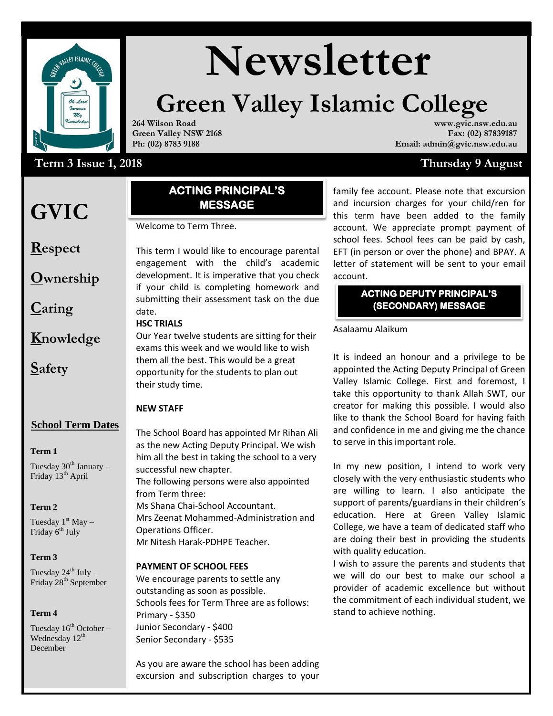

# **Newsletter**

## **Green Valley Islamic College**

**264 Wilson Road Green Valley NSW 2168 Ph: (02) 8783 9188**

#### **www.gvic.nsw.edu.au Fax: (02) 87839187 Email: admin@gvic.nsw.edu.au**

### Term 3 Issue 1, 2018 **Thursday 9 August**

### **GVIC**

**2018**

#### Assalaam Alaikum WRWB **ACTING PRINCIPAL'S MESSAGE**

Welcome to Term Three.

**Respect**

**Ownership**

**Caring**

**Knowledge**

**Safety**

#### This term I would like to encourage parental engagement with the child's academic development. It is imperative that you check if your child is completing homework and submitting their assessment task on the due date. **HSC TRIALS**

Our Year twelve students are sitting for their exams this week and we would like to wish them all the best. This would be a great opportunity for the students to plan out their study time.

#### **NEW STAFF**

#### **School Term Dates**

#### **Term 1**

Tuesday  $30<sup>th</sup>$  January – Friday 13<sup>th</sup> April

#### **Term 2**

Tuesday  $1<sup>st</sup>$  May – Friday 6<sup>th</sup> July

#### **Term 3**

Tuesday  $24^{th}$  July – Friday 28<sup>th</sup> September

#### **Term 4**

Tuesday  $16^{th}$  October – Wednesday  $12<sup>th</sup>$ December

The School Board has appointed Mr Rihan Ali as the new Acting Deputy Principal. We wish him all the best in taking the school to a very successful new chapter. The following persons were also appointed from Term three: Ms Shana Chai-School Accountant. Mrs Zeenat Mohammed-Administration and Operations Officer. Mr Nitesh Harak-PDHPE Teacher.

#### **PAYMENT OF SCHOOL FEES**

**EXAMPLE 2018 CONDUCT 2018** CONDITIONS WE WE WE outstanding as soon as possible. Schools fees for Term Three are as follows: Primary - \$350 Junior Secondary - \$400 Senior Secondary - \$535

As you are aware the school has been adding excursion and subscription charges to your family fee account. Please note that excursion and incursion charges for your child/ren for this term have been added to the family account. We appreciate prompt payment of school fees. School fees can be paid by cash, EFT (in person or over the phone) and BPAY. A letter of statement will be sent to your email account.

#### **ACTING DEPUTY PRINCIPAL'S (SECONDARY) MESSAGE**

Asalaamu Alaikum

It is indeed an honour and a privilege to be appointed the Acting Deputy Principal of Green Valley Islamic College. First and foremost, I take this opportunity to thank Allah SWT, our creator for making this possible. I would also like to thank the School Board for having faith and confidence in me and giving me the chance to serve in this important role.

In my new position, I intend to work very closely with the very enthusiastic students who are willing to learn. I also anticipate the support of parents/guardians in their children's education. Here at Green Valley Islamic College, we have a team of dedicated staff who are doing their best in providing the students with quality education.

I wish to assure the parents and students that we will do our best to make our school a provider of academic excellence but without the commitment of each individual student, we stand to achieve nothing.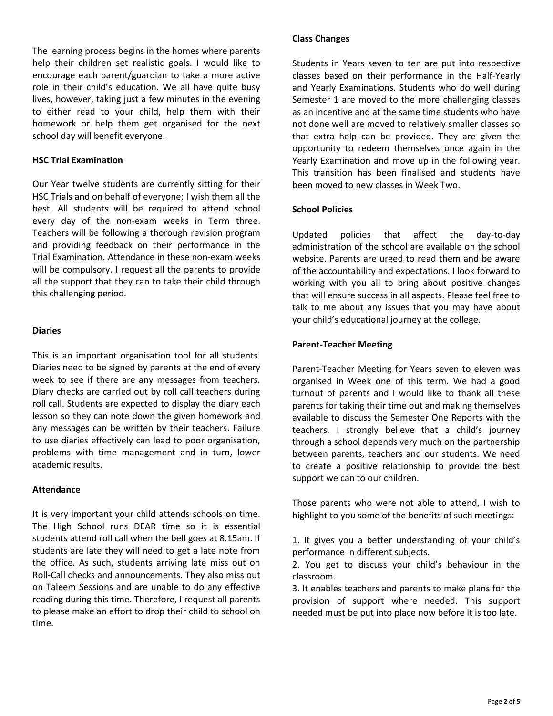The learning process begins in the homes where parents help their children set realistic goals. I would like to encourage each parent/guardian to take a more active role in their child's education. We all have quite busy lives, however, taking just a few minutes in the evening to either read to your child, help them with their homework or help them get organised for the next school day will benefit everyone.

#### **HSC Trial Examination**

Our Year twelve students are currently sitting for their HSC Trials and on behalf of everyone; I wish them all the best. All students will be required to attend school every day of the non-exam weeks in Term three. Teachers will be following a thorough revision program and providing feedback on their performance in the Trial Examination. Attendance in these non-exam weeks will be compulsory. I request all the parents to provide all the support that they can to take their child through this challenging period.

#### **Diaries**

This is an important organisation tool for all students. Diaries need to be signed by parents at the end of every week to see if there are any messages from teachers. Diary checks are carried out by roll call teachers during roll call. Students are expected to display the diary each lesson so they can note down the given homework and any messages can be written by their teachers. Failure to use diaries effectively can lead to poor organisation, problems with time management and in turn, lower academic results.

#### **Attendance**

It is very important your child attends schools on time. The High School runs DEAR time so it is essential students attend roll call when the bell goes at 8.15am. If students are late they will need to get a late note from the office. As such, students arriving late miss out on Roll-Call checks and announcements. They also miss out on Taleem Sessions and are unable to do any effective reading during this time. Therefore, I request all parents to please make an effort to drop their child to school on time.

#### **Class Changes**

Students in Years seven to ten are put into respective classes based on their performance in the Half-Yearly and Yearly Examinations. Students who do well during Semester 1 are moved to the more challenging classes as an incentive and at the same time students who have not done well are moved to relatively smaller classes so that extra help can be provided. They are given the opportunity to redeem themselves once again in the Yearly Examination and move up in the following year. This transition has been finalised and students have been moved to new classes in Week Two.

#### **School Policies**

Updated policies that affect the day-to-day administration of the school are available on the school website. Parents are urged to read them and be aware of the accountability and expectations. I look forward to working with you all to bring about positive changes that will ensure success in all aspects. Please feel free to talk to me about any issues that you may have about your child's educational journey at the college.

#### **Parent-Teacher Meeting**

Parent-Teacher Meeting for Years seven to eleven was organised in Week one of this term. We had a good turnout of parents and I would like to thank all these parents for taking their time out and making themselves available to discuss the Semester One Reports with the teachers. I strongly believe that a child's journey through a school depends very much on the partnership between parents, teachers and our students. We need to create a positive relationship to provide the best support we can to our children.

Those parents who were not able to attend, I wish to highlight to you some of the benefits of such meetings:

1. It gives you a better understanding of your child's performance in different subjects.

2. You get to discuss your child's behaviour in the classroom.

3. It enables teachers and parents to make plans for the provision of support where needed. This support needed must be put into place now before it is too late.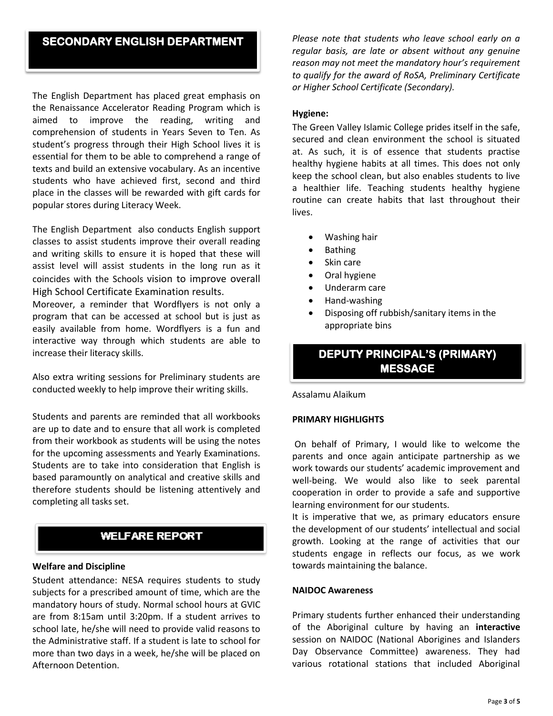#### **SECONDARY ENGLISH DEPARTMENT**

The English Department has placed great emphasis on the Renaissance Accelerator Reading Program which is aimed to improve the reading, writing and comprehension of students in Years Seven to Ten. As student's progress through their High School lives it is essential for them to be able to comprehend a range of texts and build an extensive vocabulary. As an incentive students who have achieved first, second and third place in the classes will be rewarded with gift cards for popular stores during Literacy Week.

The English Department also conducts English support classes to assist students improve their overall reading and writing skills to ensure it is hoped that these will assist level will assist students in the long run as it coincides with the Schools vision to improve overall High School Certificate Examination results.

Moreover, a reminder that Wordflyers is not only a program that can be accessed at school but is just as easily available from home. Wordflyers is a fun and interactive way through which students are able to increase their literacy skills.

Also extra writing sessions for Preliminary students are conducted weekly to help improve their writing skills.

Students and parents are reminded that all workbooks are up to date and to ensure that all work is completed from their workbook as students will be using the notes for the upcoming assessments and Yearly Examinations. Students are to take into consideration that English is based paramountly on analytical and creative skills and therefore students should be listening attentively and completing all tasks set.

#### **WELFARE REPORT**

#### **Welfare and Discipline**

Student attendance: NESA requires students to study subjects for a prescribed amount of time, which are the mandatory hours of study. Normal school hours at GVIC are from 8:15am until 3:20pm. If a student arrives to school late, he/she will need to provide valid reasons to the Administrative staff. If a student is late to school for more than two days in a week, he/she will be placed on Afternoon Detention.

*Please note that students who leave school early on a regular basis, are late or absent without any genuine reason may not meet the mandatory hour's requirement to qualify for the award of RoSA, Preliminary Certificate or Higher School Certificate (Secondary).*

#### **Hygiene:**

The Green Valley Islamic College prides itself in the safe, secured and clean environment the school is situated at. As such, it is of essence that students practise healthy hygiene habits at all times. This does not only keep the school clean, but also enables students to live a healthier life. Teaching students healthy hygiene routine can create habits that last throughout their lives.

- Washing hair
- Bathing
- Skin care
- Oral hygiene
- Underarm care
- Hand-washing
- Disposing off rubbish/sanitary items in the appropriate bins

#### **DEPUTY PRINCIPAL'S (PRIMARY) MESSAGE**

Assalamu Alaikum

#### **PRIMARY HIGHLIGHTS**

On behalf of Primary, I would like to welcome the parents and once again anticipate partnership as we work towards our students' academic improvement and well-being. We would also like to seek parental cooperation in order to provide a safe and supportive learning environment for our students.

It is imperative that we, as primary educators ensure the development of our students' intellectual and social growth. Looking at the range of activities that our students engage in reflects our focus, as we work towards maintaining the balance.

#### **NAIDOC Awareness**

Primary students further enhanced their understanding of the Aboriginal culture by having an **interactive**  session on NAIDOC (National Aborigines and Islanders Day Observance Committee) awareness. They had various rotational stations that included Aboriginal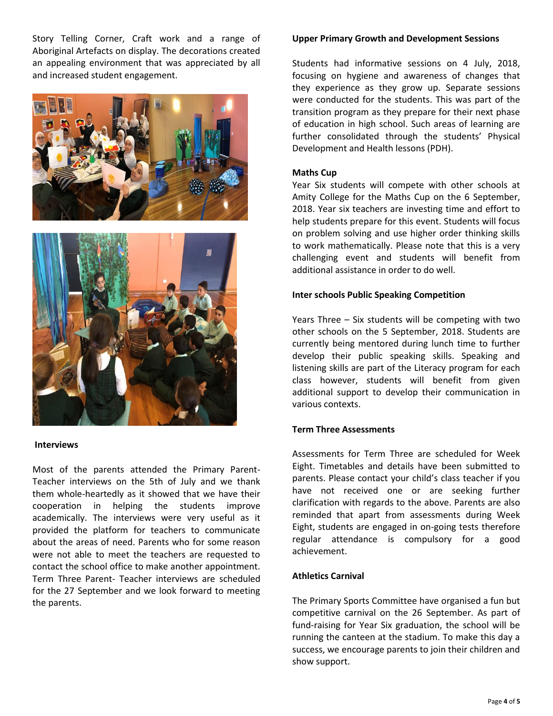Story Telling Corner, Craft work and a range of Aboriginal Artefacts on display. The decorations created an appealing environment that was appreciated by all and increased student engagement.





#### **Interviews**

Most of the parents attended the Primary Parent-Teacher interviews on the 5th of July and we thank them whole-heartedly as it showed that we have their cooperation in helping the students improve academically. The interviews were very useful as it provided the platform for teachers to communicate about the areas of need. Parents who for some reason were not able to meet the teachers are requested to contact the school office to make another appointment. Term Three Parent- Teacher interviews are scheduled for the 27 September and we look forward to meeting the parents.

#### **Upper Primary Growth and Development Sessions**

Students had informative sessions on 4 July, 2018, focusing on hygiene and awareness of changes that they experience as they grow up. Separate sessions were conducted for the students. This was part of the transition program as they prepare for their next phase of education in high school. Such areas of learning are further consolidated through the students' Physical Development and Health lessons (PDH).

#### **Maths Cup**

Year Six students will compete with other schools at Amity College for the Maths Cup on the 6 September, 2018. Year six teachers are investing time and effort to help students prepare for this event. Students will focus on problem solving and use higher order thinking skills to work mathematically. Please note that this is a very challenging event and students will benefit from additional assistance in order to do well.

#### **Inter schools Public Speaking Competition**

Years Three – Six students will be competing with two other schools on the 5 September, 2018. Students are currently being mentored during lunch time to further develop their public speaking skills. Speaking and listening skills are part of the Literacy program for each class however, students will benefit from given additional support to develop their communication in various contexts.

#### **Term Three Assessments**

Assessments for Term Three are scheduled for Week Eight. Timetables and details have been submitted to parents. Please contact your child's class teacher if you have not received one or are seeking further clarification with regards to the above. Parents are also reminded that apart from assessments during Week Eight, students are engaged in on-going tests therefore regular attendance is compulsory for a good achievement.

#### **Athletics Carnival**

The Primary Sports Committee have organised a fun but competitive carnival on the 26 September. As part of fund-raising for Year Six graduation, the school will be running the canteen at the stadium. To make this day a success, we encourage parents to join their children and show support.